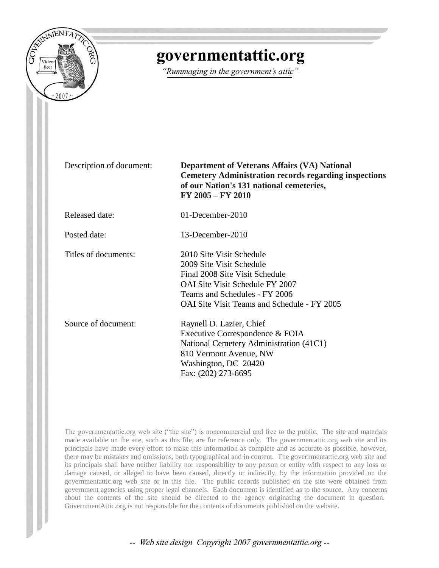

# governmentattic.org

"Rummaging in the government's attic"

Description of document: **Department of Veterans Affairs (VA) National Cemetery Administration records regarding inspections of our Nation's 131 national cemeteries, FY 2005 – FY 2010**

Released date: 01-December-2010

Posted date: 13-December-2010

Titles of documents: 2010 Site Visit Schedule

OAI Site Visit Teams and Schedule - FY 2005 Source of document: Raynell D. Lazier, Chief Executive Correspondence & FOIA National Cemetery Administration (41C1) 810 Vermont Avenue, NW Washington, DC 20420

2009 Site Visit Schedule Final 2008 Site Visit Schedule OAI Site Visit Schedule FY 2007 Teams and Schedules - FY 2006

Fax: (202) 273-6695

The governmentattic.org web site ("the site") is noncommercial and free to the public. The site and materials made available on the site, such as this file, are for reference only. The governmentattic.org web site and its principals have made every effort to make this information as complete and as accurate as possible, however, there may be mistakes and omissions, both typographical and in content. The governmentattic.org web site and its principals shall have neither liability nor responsibility to any person or entity with respect to any loss or damage caused, or alleged to have been caused, directly or indirectly, by the information provided on the governmentattic.org web site or in this file. The public records published on the site were obtained from government agencies using proper legal channels. Each document is identified as to the source. Any concerns about the contents of the site should be directed to the agency originating the document in question. GovernmentAttic.org is not responsible for the contents of documents published on the website.

-- Web site design Copyright 2007 governmentattic.org --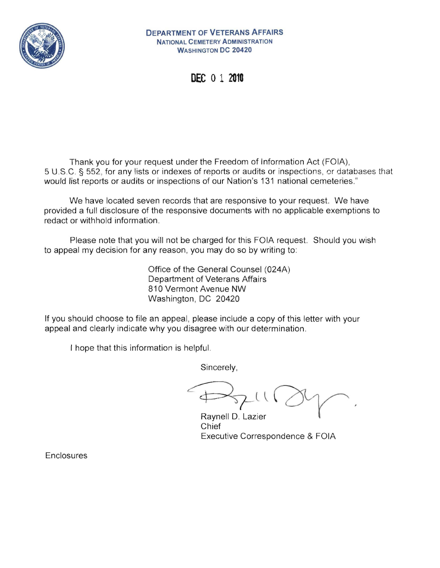

**DEPARTMENT OF VETERANS AFFAIRS**  NATIONAL CEMETERY ADMINISTRATION WASHINGTON **DC 20420** 

DEC 0 1 **<sup>2910</sup>**

Thank you for your request under the Freedom of Information Act (FOIA), 5 U.SC. § 552, for any lists or indexes of reports pr audits or inspections, or databases that would list reports or audits or inspections of our Nation's 131 national cemeteries."

We have located seven records that are responsive to your request. We have provided a full disclosure of the responsive documents with no applicable exemptions to redact or withhold information.

Please note that you will not be charged for this FOIA request. Should you wish to appeal my decision for any reason, you may do so by writing to:

> Office of the General Counsel (024A) Department of Veterans Affairs 810 Vermont Avenue NW Washington, DC 20420

If you should choose to file an appeal, please include a copy of this letter with your appeal and clearly indicate why you disagree with our determination.

I hope that this information is helpful.

Sincerely,

 $474$ 

Raynell D. Lazier Chief Executive Correspondence & FOIA

**Enclosures**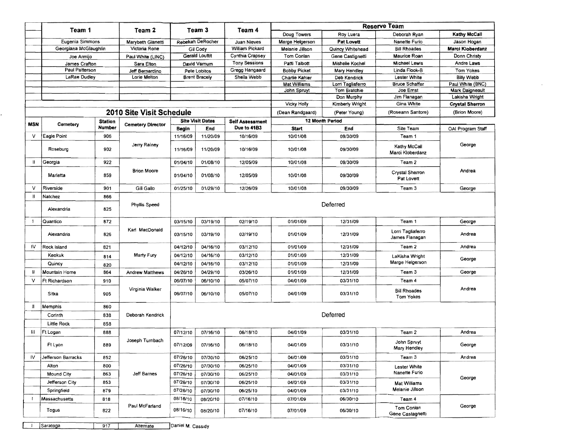|              | Team 1                |                                 | Team 2                   | Team 3   |                         | Team 4                                | <b>Reserve Team</b> |                            |                                     |                                          |  |
|--------------|-----------------------|---------------------------------|--------------------------|----------|-------------------------|---------------------------------------|---------------------|----------------------------|-------------------------------------|------------------------------------------|--|
|              |                       |                                 |                          |          |                         |                                       | Doug Towers         | Roy Luera                  | Deborah Ryan                        | Kathy McCall                             |  |
|              | Eugenia Simmons       |                                 | Marybeth Gianetti        |          | Rebekah DeRocher        | Juan Nieves                           | Marge Helgerson     | Pat Lovett                 | Nanette Furio                       | Jason Hogan                              |  |
|              | Georgiana McGlaughlin |                                 | Victoria Rone            |          | Gil Cody                | William Pickard                       | Melanie Jillson     | Quincy Whitehead           | <b>Bill Rhoades</b>                 | Marci Kloberdanz                         |  |
|              | Joe Armijo            |                                 | Paul White (LINC)        |          | Gerald Louttit          | Cynthia Crapsey                       | Tom Conlan          | Gene Castignetti           | Maurice Roan                        | Donn Christy                             |  |
|              | James Crafton         |                                 | Sara Elton               |          | David Varnum            | <b>Tony Sessions</b>                  | Patti Talbott       | Mishelle Kochel            | Michael Lewis                       | Andre Laws                               |  |
|              | Paul Patterson        |                                 | Jeff Bernardino          |          | Pete Lobitos            | Gregg Hangaard                        | <b>Bobby Picket</b> | Mary Hendley               | Linda Flook-B                       | Tom Yokes                                |  |
|              | LaRae Dudley          |                                 | Lorie Melton             |          | <b>Brent Bracely</b>    | Sheila Webb                           | Charlie Kahler      | Deb Kendrick               | Lester White                        | <b>Billy Webb</b>                        |  |
|              |                       |                                 |                          |          |                         |                                       | Mat Williams        | Lorn Tagliaferro           | <b>Bruce Schaffer</b>               | Paul White (BNC)                         |  |
|              |                       |                                 |                          |          |                         |                                       | John Spruyt         | Tom Bratchie<br>Don Murphy | Joe Ernst<br>Jim Flanagan           | <b>Mark Daigneault</b><br>Lakisha Wright |  |
|              |                       |                                 |                          |          |                         |                                       | <b>Vicky Holly</b>  | Kimberly Wright            | Gina White                          | <b>Crystal Sherron</b>                   |  |
|              |                       |                                 | 2010 Site Visit Schedule |          |                         |                                       |                     | (Peter Young)              | (Roseann Santore)                   | (Brion Moore)                            |  |
|              |                       |                                 |                          |          |                         |                                       | (Dean Randgaard)    |                            |                                     |                                          |  |
| MSN          | Cemetery              | <b>Station</b><br><b>Number</b> | <b>Cemetery Director</b> |          | <b>Site Visit Dates</b> | <b>Self Assessment</b><br>Due to 41B3 |                     | 12 Month Period            |                                     |                                          |  |
|              |                       |                                 |                          | Begin    | End                     |                                       | <b>Start</b>        | End                        | Site Team                           | OAI Program Staff                        |  |
| ν            | Eagle Point           | 906                             |                          | 11/16/09 | 11/20/09                | 10/16/09                              | 10/01/08            | 09/30/09                   | Team 1                              |                                          |  |
|              | Roseburg              | 902                             | Jerry Rainey             | 11/16/09 | 11/20/09                | 10/16/09                              | 10/01/08            | 09/30/09                   | Kathy McCall<br>Marci Kloberdanz    | George                                   |  |
| Ш            | Georgia               | 922                             |                          | 01/04/10 | 01/08/10                | 12/05/09                              | 10/01/08            | 09/30/09                   | Team 2                              |                                          |  |
|              | Marietta              | 859                             | <b>Brion Moore</b>       | 01/04/10 | 01/08/10                | 12/05/09                              | 10/01/08            | 09/30/09                   | Crystal Sherron<br>Pat Lovett       | Andrea                                   |  |
| V            | Riverside             | 901                             | Gill Gallo               | 01/25/10 | 01/29/10                | 12/26/09                              | 10/01/08            | 09/30/09                   | Team 3                              | George                                   |  |
| н            | Natchez               | 866                             |                          |          |                         |                                       |                     |                            |                                     |                                          |  |
|              | Alexandria            | 825                             | Phyllis Speed            |          |                         | Deferred                              |                     |                            |                                     |                                          |  |
| - 1          | Quantico              | 872                             |                          | 03/15/10 | 03/19/10                | 02/19/10                              | 01/01/09            | 12/31/09                   | Team 1                              |                                          |  |
|              |                       |                                 | Karl MacDonald           |          |                         |                                       |                     |                            |                                     | George                                   |  |
|              | Alexandria            | 826                             |                          | 03/15/10 | 03/19/10                | 02/19/10                              | 01/01/09            | 12/31/09                   | Lorri Tagliaferro<br>James Flanagan | Andrea                                   |  |
| <b>IV</b>    | Rock Island           | 821                             | Marty Fury               | 04/12/10 | 04/16/10                | 03/12/10                              | 01/01/09            | 12/31/09                   | Team 2                              | Andrea                                   |  |
|              | Keokuk                | 814                             |                          | 04/12/10 | 04/16/10                | 03/12/10                              | 01/01/09            | 12/31/09                   | LaKisha Wright                      |                                          |  |
|              | Quincy                | 820                             |                          | 04/12/10 | 04/16/10                | 03/12/10                              | 01/01/09            | 12/31/09                   | Marge Helgerson                     | George                                   |  |
| Ħ            | Mountain Home         | 864                             | <b>Andrew Matthews</b>   | 04/26/10 | 04/29/10                | 03/26/10                              | 01/01/09            | 12/31/09                   | Team 3                              | George                                   |  |
| v            | Ft Richardson         | 910                             |                          | 06/07/10 | 06/10/10                | 05/07/10                              | 04/01/09            | 03/31/10                   | Team 4                              |                                          |  |
|              | Sitka                 | 905                             | Virginia Walker          | 06/07/10 | 06/10/10                | 05/07/10                              | 04/01/09            | 03/31/10                   | <b>Bill Rhoades</b><br>Tom Yokes    | Andrea                                   |  |
| П            | Memphis               | 860                             |                          |          |                         |                                       |                     |                            |                                     |                                          |  |
|              | Corinth               | 838                             | Deborah Kendrick         |          |                         |                                       |                     | Deferred                   |                                     |                                          |  |
|              | Little Rock           | 858                             |                          |          |                         |                                       |                     |                            |                                     |                                          |  |
| Ш            | Ft Logan              | 888                             |                          | 07/12/10 | 07/16/10                | 06/18/10                              | 04/01/09            | 03/31/10                   | Team 2                              | Andrea                                   |  |
|              |                       |                                 | Joseph Turnbach          |          |                         |                                       |                     |                            |                                     |                                          |  |
|              | Ft Lyon               | 889                             |                          | 07/12/09 | 07/16/10                | 06/18/10                              | 04/01/09            | 03/31/10                   | John Spruyt<br>Mary Hendley         | George                                   |  |
| IV.          | Jefferson Barracks    | 852                             |                          | 07/26/10 | 07/30/10                | 06/25/10                              | 04/01/09            | 03/31/10                   | Team 3                              | Andrea                                   |  |
|              | Alton                 | 800                             |                          | 07/26/10 | 07/30/10                | 06/25/10                              | 04/01/09            | 03/31/10                   | <b>Lester White</b>                 |                                          |  |
|              | <b>Mound City</b>     | 863                             | Jeff Barnes              | 07/26/10 | 07/30/10                | 06/25/10                              | 04/01/09            | 03/31/10                   | Nanette Furio                       |                                          |  |
|              | Jefferson City        | 853                             |                          | 07/26/10 | 07/30/10                | 06/25/10                              | 04/01/09            | 03/31/10                   | <b>Mat Williams</b>                 | George                                   |  |
|              | Springfield           | 879                             |                          | 07/26/10 | 07/30/10                | 06/25/10                              | 04/01/09            | 03/31/10                   | Melanie Jillson                     |                                          |  |
| $\mathbf{I}$ | Massachusetts         | 818                             |                          | 08/16/10 | 08/20/10                | 07/16/10                              | 07/01/09            | 06/30/10                   | Team 4                              |                                          |  |
|              | Togus                 | 822                             | Paul McFarland           | 08/16/10 | 08/20/10                | 07/16/10                              | 07/01/09            | 06/30/10                   | Tom Conlan<br>Gene Castagnetti      | George                                   |  |

ř.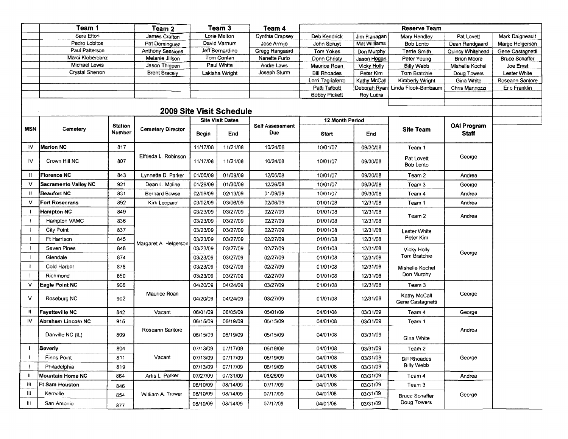|              | Team 1                             |                          | Team 2                                |          | Team <sub>3</sub>               | Team 4                        |                                     |                                 | <b>Reserve Team</b>               |                             |                           |
|--------------|------------------------------------|--------------------------|---------------------------------------|----------|---------------------------------|-------------------------------|-------------------------------------|---------------------------------|-----------------------------------|-----------------------------|---------------------------|
|              | Sara Elton                         |                          | James Crafton                         |          | Lorie Melton                    | Cynthia Crapsey               | Deb Kendrick                        | Jim Flanagan                    | Mary Hendley                      | Pat Lovett                  | Mark Daigneault           |
|              | Pedro Lobitos                      |                          | Pat Dominguez                         |          | David Varnum                    | Jose Armijo                   | John Spruyt                         | Mat Williams                    | Bob Lento                         | Dean Randgaard              | Marge Helgerson           |
|              | Paul Patterson<br>Marci Kloberdanz |                          | <b>Anthony Sessions</b>               |          | Jeff Bernardino                 | Gregg Hangaard                | Tom Yokes                           | Don Murphy                      | Terrie Smith                      | Quincy Whitehead            | Gene Castagnetti          |
|              | Michael Lewis                      |                          | Melanie Jillson                       |          | Tom Conlan<br>Paul White        | Nanette Furio                 | Donn Christy                        | Jason Hogan                     | Peter Young                       | <b>Brion Moore</b>          | <b>Bruce Schaffer</b>     |
|              | Crystal Sherron                    |                          | Jason Thigpen<br><b>Brent Bracely</b> |          | Lakisha Wright                  | Andre Laws<br>Joseph Sturm    | Maurice Roan<br><b>Bill Rhoades</b> | <b>Vicky Holly</b><br>Peter Kim | <b>Billy Webb</b><br>Tom Bratchie | Mishelle Kochel             | Joe Ernst<br>Lester White |
|              |                                    |                          |                                       |          |                                 |                               | Lorri Tagliaferro                   | Kathy McCall                    | Kimberly Wright                   | Doug Towers<br>Gina White   | Roseann Santore           |
|              |                                    |                          |                                       |          |                                 |                               | Patti Talbott                       |                                 | Deborah Ryan Linda Flook-Bimbaum  | Chris Mannozzi              | Eric Franklin             |
|              |                                    |                          |                                       |          |                                 |                               | <b>Bobby Pickett</b>                | Roy Luera                       |                                   |                             |                           |
|              |                                    |                          |                                       |          |                                 |                               |                                     |                                 |                                   |                             |                           |
|              |                                    |                          |                                       |          | <b>2009 Site Visit Schedule</b> |                               |                                     |                                 |                                   |                             |                           |
|              |                                    |                          |                                       |          | <b>Site Visit Dates</b>         |                               | <b>12 Month Period</b>              |                                 |                                   |                             |                           |
| <b>MSN</b>   | Cemetery                           | <b>Station</b><br>Number | <b>Cemetery Director</b>              | Begin    | End                             | <b>Self Assessment</b><br>Due | <b>Start</b>                        | End                             | Site Team                         | <b>OAI Program</b><br>Staff |                           |
| 1V           | <b>Marion NC</b>                   | 817                      |                                       | 11/17/08 | 11/21/08                        | 10/24/08                      | 10/01/07                            | 09/30/08                        | Team 1                            |                             |                           |
| łV.          | Crown Hill NC                      | 807                      | Elfrieda L. Robinson                  | 11/17/08 | 11/21/08                        | 10/24/08                      | 10/01/07                            | 09/30/08                        | Pat Lovett<br><b>Bob Lento</b>    | George                      |                           |
| -11          | <b>Florence NC</b>                 | 843                      | Lynnette D. Parker                    | 01/05/09 | 01/09/09                        | 12/05/08                      | 10/01/07                            | 09/30/08                        | Team 2                            | Andrea                      |                           |
| V            | <b>Sacramento Valley NC</b>        | 921                      | Dean L. Moline                        | 01/26/09 | 01/30/09                        | 12/26/08                      | 10/01/07                            | 09/30/08                        | Team 3                            | George                      |                           |
| -11          | <b>Beaufort NC</b>                 | 831                      | Bernard Bowse                         | 02/09/09 | 02/13/09                        | 01/09/09                      | 10/01/07                            | 09/30/08                        | Team 4                            | Andrea                      |                           |
| v            | <b>Fort Rosecrans</b>              | 892                      | Kirk Leopard                          | 03/02/09 | 03/06/09                        | 02/06/09                      | 01/01/08                            | 12/31/08                        | Team 1                            | Andrea                      |                           |
|              | <b>Hampton NC</b>                  | 849                      |                                       | 03/23/09 | 03/27/09                        | 02/27/09                      | 01/01/08                            | 12/31/08                        |                                   |                             |                           |
|              | Hampton VAMC                       | 836                      |                                       | 03/23/09 | 03/27/09                        | 02/27/09                      | 01/01/08                            | 12/31/08                        | Team 2                            | Andrea                      |                           |
|              | <b>City Point</b>                  | 837                      |                                       | 03/23/09 | 03/27/09                        | 02/27/09                      | 01/01/08                            | 12/31/08                        | <b>Lester White</b>               |                             |                           |
|              | <b>Ft Harrison</b>                 | 845                      |                                       | 03/23/09 | 03/27/09                        | 02/27/09                      | 01/01/08                            | 12/31/08                        | Peter Kim                         |                             |                           |
|              | Seven Pines                        | 848                      | Margaret A. Helgerson                 | 03/23/09 | 03/27/09                        | 02/27/09                      | 01/01/08                            | 12/31/08                        | <b>Vicky Holly</b>                |                             |                           |
|              | Glendale                           | 874                      |                                       | 03/23/09 | 03/27/09                        | 02/27/09                      | 01/01/08                            | 12/31/08                        | Tom Bratchie                      | George                      |                           |
|              | Cold Harbor                        | 878                      |                                       | 03/23/09 | 03/27/09                        | 02/27/09                      | 01/01/08                            | 12/31/08                        | Mishelle Kochel                   |                             |                           |
|              | Richmond                           | 850                      |                                       | 03/23/09 | 03/27/09                        | 02/27/09                      | 01/01/08                            | 12/31/08                        | Don Murphy                        |                             |                           |
| v            | Eagle Point NC                     | 906                      |                                       | 04/20/09 | 04/24/09                        | 03/27/09                      | 01/01/08                            | 12/31/08                        | Team 3                            |                             |                           |
| v            | Roseburg NC                        | 902                      | Maurice Roan                          | 04/20/09 | 04/24/09                        | 03/27/09                      | 01/01/08                            | 12/31/08                        | Kathy McCall<br>Gene Castagnetti  | George                      |                           |
| Н.           | <b>Fayetteville NC</b>             | 842                      | Vacant                                | 06/01/09 | 06/05/09                        | 05/01/09                      | 04/01/08                            | 03/31/09                        | Team 4                            | George                      |                           |
| IV.          | Abraham Lincoln NC                 | 915                      |                                       | 06/15/09 | 06/19/09                        | 05/15/09                      | 04/01/08                            | 03/31/09                        | Team 1                            |                             |                           |
|              | Danville NC (IL)                   | 809                      | Roseann Santore                       | 06/15/09 | 06/19/09                        | 05/15/09                      | 04/01/08                            | 03/31/09                        | Gina White                        | Andrea                      |                           |
| $\mathbf{I}$ | Beverly                            | 804                      |                                       | 07/13/09 | 07/17/09                        | 06/19/09                      | 04/01/08                            | 03/31/09                        | Team 2                            |                             |                           |
| $\mathbf{I}$ | Finns Point                        | 811                      | Vacant                                | 07/13/09 | 07/17/09                        | 06/19/09                      | 04/01/08                            | 03/31/09                        | <b>Bill Rhoades</b>               | George                      |                           |
| $\mathbf{I}$ | Philadelphia                       | 819                      |                                       | 07/13/09 | 07/17/09                        | 06/19/09                      | 04/01/08                            | 03/31/09                        | Billy Webb                        |                             |                           |
| $\mathbf{H}$ | <b>Mountain Home NC</b>            | 864                      | Artis L. Parker                       | 07/27/09 | 07/31/09                        | 06/26/09                      | 04/01/08                            | 03/31/09                        | Team 4                            | Andrea                      |                           |
| m            | Ft Sam Houston                     | 846                      |                                       | 08/10/09 | 08/14/09                        | 07/17/09                      | 04/01/08                            | 03/31/09                        | Team 3                            |                             |                           |
| Ш            | Kerrville                          | 854                      | William A. Trower                     | 08/10/09 | 08/14/09                        | 07/17/09                      | 04/01/08                            | 03/31/09                        | Bruce Schaffer                    | George                      |                           |
| Ш            | San Antonio                        | 877                      |                                       | 08/10/09 | 08/14/09                        | 07/17/09                      | 04/01/08                            | 03/31/09                        | Doug Towers                       |                             |                           |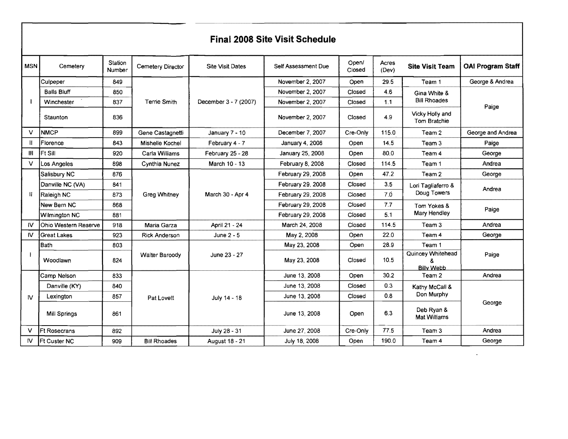|               | <b>Final 2008 Site Visit Schedule</b> |                   |                       |                         |                     |                 |                |                                                  |                          |
|---------------|---------------------------------------|-------------------|-----------------------|-------------------------|---------------------|-----------------|----------------|--------------------------------------------------|--------------------------|
| MSN           | Cemetery                              | Station<br>Number | Cemetery Director     | <b>Site Visit Dates</b> | Self Assessment Due | Open/<br>Closed | Acres<br>(Dev) | <b>Site Visit Team</b>                           | <b>OAI Program Staff</b> |
|               | Culpeper                              | 849               |                       |                         | November 2, 2007    | Open            | 29.5           | Team 1                                           | George & Andrea          |
|               | <b>Balls Bluff</b>                    | 850               | <b>Terrie Smith</b>   |                         | November 2, 2007    | Closed          | 4.6            | Gina White &<br><b>Bill Rhoades</b>              | Paige                    |
|               | Winchester                            | 837               |                       | December 3 - 7 (2007)   | November 2, 2007    | Closed          | 1.1            |                                                  |                          |
|               | Staunton                              | 836               |                       |                         | November 2, 2007    | Closed          | 4.9            | Vicky Holly and<br>Tom Bratchie                  |                          |
| $\vee$        | <b>NMCP</b>                           | 899               | Gene Castagnetti      | January $7 - 10$        | December 7, 2007    | Cre-Only        | 115.0          | Team 2                                           | George and Andrea        |
| Ш             | Florence                              | 843               | Mishelle Kochel       | February 4 - 7          | January 4, 2008     | Open            | 14.5           | Team 3                                           | Paige                    |
| Ш             | <b>Ft Sill</b>                        | 920               | Carla Williams        | February 25 - 28        | January 25, 2008    | Open            | 80.0           | Team <sub>4</sub>                                | George                   |
| $\vee$        | Los Angeles                           | 898               | Cynthia Nunez         | March 10 - 13           | February 8, 2008    | Closed          | 114.5          | Team 1                                           | Andrea                   |
|               | Salisbury NC                          | 876               | <b>Greg Whitney</b>   | March 30 - Apr 4        | February 29, 2008   | Open            | 47.2           | Team 2                                           | George                   |
|               | Danville NC (VA)                      | 841               |                       |                         | February 29, 2008   | Closed          | 3.5            | Lori Tagliaferro &<br>Doug Towers<br>Tom Yokes & | Andrea                   |
| Ħ             | Raleigh NC                            | 873               |                       |                         | February 29, 2008   | Closed          | 7.0            |                                                  |                          |
|               | New Bern NC                           | 868               |                       |                         | February 29, 2008   | Closed          | 7.7            |                                                  | Paige                    |
|               | Wilmington NC                         | 881               |                       |                         | February 29, 2008   | Closed          | 5.1            | Mary Hendley                                     |                          |
| IV.           | Ohio Western Reserve                  | 918               | Maria Garza           | April 21 - 24           | March 24, 2008      | Closed          | 1145           | Team <sub>3</sub>                                | Andrea                   |
| $\mathsf{IV}$ | Great Lakes                           | 923               | Rick Anderson         | June 2 - 5              | May 2, 2008         | Open            | 22.0           | Team 4                                           | George                   |
|               | Bath                                  | 803               |                       |                         | May 23, 2008        | Open            | 28.9           | Team 1                                           |                          |
|               | Woodlawn                              | 824               | <b>Walter Baroody</b> | June 23 - 27            | May 23, 2008        | Closed          | 10.5           | Quincey Whitehead<br><b>Billy Webb</b>           | Paige                    |
|               | Camp Nelson                           | 833               |                       |                         | June 13, 2008       | Open            | 30.2           | Team 2                                           | Andrea                   |
|               | Danville (KY)                         | 840               |                       |                         | June 13, 2008       | Closed          | 0.3            | Kathy McCall &                                   |                          |
| <b>N</b>      | Lexington                             | 857               | Pat Lovett            | July 14 - 18            | June 13, 2008       | Closed          | 0.8            | Don Murphy                                       |                          |
|               | <b>Mill Springs</b>                   | 861               |                       |                         | June 13, 2008       | Open            | 6.3            | Deb Ryan &<br><b>Mat Williams</b>                | George                   |
| v             | <b>Ft Rosecrans</b>                   | 892               |                       | July 28 - 31            | June 27, 2008       | Cre-Only        | 77.5           | Team 3                                           | Andrea                   |
| $\mathsf{N}$  | <b>Ft Custer NC</b>                   | 909               | <b>Bill Rhoades</b>   | August 18 - 21          | July 18, 2008       | Open            | 190.0          | Team 4                                           | George                   |

 $\mathcal{L}(\mathcal{L}(\mathcal{L}))$  and  $\mathcal{L}(\mathcal{L}(\mathcal{L}))$  . The contribution of  $\mathcal{L}(\mathcal{L})$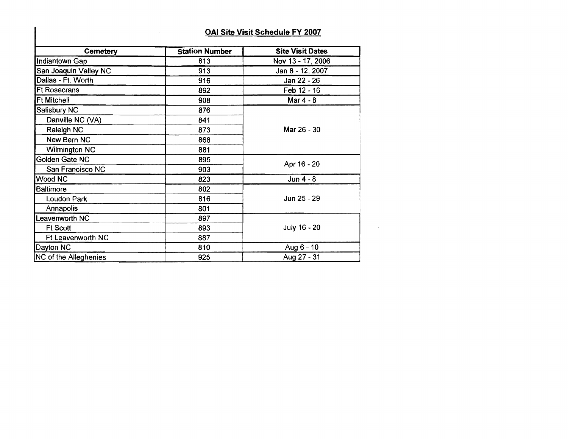## OAI Site Visit Schedule FY 2007

 $\sim 10^7$ 

| <b>Cemetery</b>              | <b>Station Number</b> | <b>Site Visit Dates</b> |  |
|------------------------------|-----------------------|-------------------------|--|
| Indiantown Gap               | 813                   | Nov 13 - 17, 2006       |  |
| San Joaquin Valley NC        | 913                   | Jan 8 - 12, 2007        |  |
| Dallas - Ft. Worth           | 916                   | Jan 22 - 26             |  |
| <b>Ft Rosecrans</b>          | 892                   | Feb 12 - 16             |  |
| <b>Ft Mitchell</b>           | 908                   | Mar 4 - 8               |  |
| Salisbury NC                 | 876                   |                         |  |
| Danville NC (VA)             | 841                   |                         |  |
| Raleigh NC                   | 873                   | Mar 26 - 30             |  |
| New Bern NC                  | 868                   |                         |  |
| <b>Wilmington NC</b>         | 881                   |                         |  |
| Golden Gate NC               | 895                   |                         |  |
| San Francisco NC             | 903                   | Apr 16 - 20             |  |
| Wood NC                      | 823                   | Jun $4 - 8$             |  |
| <b>Baltimore</b>             | 802                   |                         |  |
| <b>Loudon Park</b>           | 816                   | Jun 25 - 29             |  |
| Annapolis                    | 801                   |                         |  |
| Leavenworth NC               | 897                   |                         |  |
| <b>Ft Scott</b>              | 893                   | July 16 - 20            |  |
| Ft Leavenworth NC            | 887                   |                         |  |
| Dayton NC                    | 810                   | Aug 6 - 10              |  |
| <b>NC</b> of the Alleghenies | 925                   | Aug 27 - 31             |  |

 $\mathcal{A}^{\mathcal{A}}$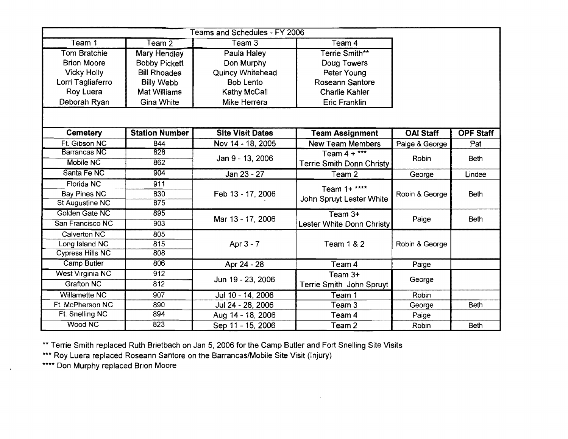|                         |                       | Teams and Schedules - FY 2006 |                                  |                  |                  |
|-------------------------|-----------------------|-------------------------------|----------------------------------|------------------|------------------|
| Team 1                  | Team $\overline{2}$   | Team $3$                      | Team 4                           |                  |                  |
| <b>Tom Bratchie</b>     | <b>Mary Hendley</b>   | Paula Haley                   | Terrie Smith**                   |                  |                  |
| <b>Brion Moore</b>      | <b>Bobby Pickett</b>  | Don Murphy                    | Doug Towers                      |                  |                  |
| <b>Vicky Holly</b>      | <b>Bill Rhoades</b>   | <b>Quincy Whitehead</b>       | Peter Young                      |                  |                  |
| Lorri Tagliaferro       | <b>Billy Webb</b>     | <b>Bob Lento</b>              | Roseann Santore                  |                  |                  |
| Roy Luera               | <b>Mat Williams</b>   | Kathy McCall                  | <b>Charlie Kahler</b>            |                  |                  |
| Deborah Ryan            | <b>Gina White</b>     | Mike Herrera                  | <b>Eric Franklin</b>             |                  |                  |
|                         |                       |                               |                                  |                  |                  |
| <b>Cemetery</b>         | <b>Station Number</b> | <b>Site Visit Dates</b>       | <b>Team Assignment</b>           | <b>OAI Staff</b> | <b>OPF Staff</b> |
| Ft. Gibson NC           | 844                   | Nov 14 - 18, 2005             | <b>New Team Members</b>          | Paige & George   | Pat              |
| <b>Barrancas NC</b>     | 828                   | Jan 9 - 13, 2006              | Team $4 +***$                    | Robin            | <b>Beth</b>      |
| Mobile NC               | 862                   |                               | <b>Terrie Smith Donn Christy</b> |                  |                  |
| Santa Fe NC             | 904                   | Jan 23 - 27                   | Team 2                           | George           | Lindee           |
| Florida NC              | 911                   |                               | Team 1+ ****                     |                  |                  |
| <b>Bay Pines NC</b>     | 830                   | Feb 13 - 17, 2006             | John Spruyt Lester White         | Robin & George   | <b>Beth</b>      |
| <b>St Augustine NC</b>  | 875                   |                               |                                  |                  |                  |
| Golden Gate NC          | 895                   | Mar 13 - 17, 2006             | Team 3+                          | Paige            | <b>Beth</b>      |
| San Francisco NC        | 903                   |                               | Lester White Donn Christy        |                  |                  |
| Calverton NC            | 805                   |                               |                                  |                  |                  |
| Long Island NC          | 815                   | Apr 3 - 7                     | <b>Team 1 &amp; 2</b>            | Robin & George   |                  |
| <b>Cypress Hills NC</b> | 808                   |                               |                                  |                  |                  |
| Camp Butler             | 806                   | Apr 24 - 28                   | Team 4                           | Paige            |                  |
| <b>West Virginia NC</b> | 912                   |                               | Team $3+$                        |                  |                  |
| <b>Grafton NC</b>       | 812                   | Jun 19 - 23, 2006             | Terrie Smith John Spruyt         | George           |                  |
| Willamette NC           | 907                   | Jul 10 - 14, 2006             | Team 1                           | Robin            |                  |
| Ft. McPherson NC        | 890                   | Jul 24 - 28, 2006             | Team 3                           | George           | <b>Beth</b>      |
| Ft. Snelling NC         | 894                   | Aug 14 - 18, 2006             | Team 4                           | Paige            |                  |
| Wood NC                 | 823                   | Sep 11 - 15, 2006             | Team 2                           | Robin            | <b>Beth</b>      |

 $\sim$ 

\*\* Terrie Smith replaced Ruth Brietbach on Jan 5, 2006 for the Camp Butler and Fort Snelling Site Visits

\*\*\* Roy Luera replaced Roseann Santore on the Barrancas/Mobile Site Visit (Injury)

\*\*\*\* Don Murphy replaced Brion Moore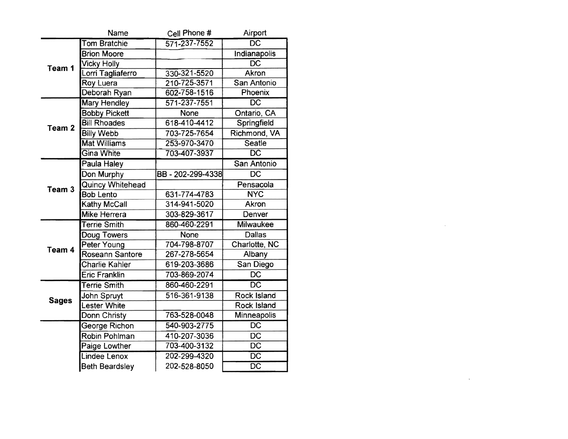|                   | Name                    | Cell Phone #    | Airport                  |
|-------------------|-------------------------|-----------------|--------------------------|
|                   | <b>Tom Bratchie</b>     | 571-237-7552    | $\overline{DC}$          |
|                   | <b>Brion Moore</b>      |                 | <b>Indianapolis</b>      |
| Team 1            | <b>Vicky Holly</b>      |                 | $\overline{\mathsf{DC}}$ |
|                   | Lorri Tagliaferro       | 330-321-5520    | Akron                    |
|                   | Roy Luera               | 210-725-3571    | San Antonio              |
|                   | Deborah Ryan            | 602-758-1516    | Phoenix                  |
|                   | <b>Mary Hendley</b>     | 571-237-7551    | $\overline{DC}$          |
|                   | <b>Bobby Pickett</b>    | None            | Ontario, CA              |
| Team <sub>2</sub> | <b>Bill Rhoades</b>     | 618-410-4412    | Springfield              |
|                   | <b>Billy Webb</b>       | 703-725-7654    | Richmond, VA             |
|                   | <b>Mat Williams</b>     | 253-970-3470    | Seatle                   |
|                   | <b>Gina White</b>       | 703-407-3937    | $\overline{\text{DC}}$   |
|                   | Paula Haley             |                 | San Antonio              |
|                   | Don Murphy              | BB-202-299-4338 | $\overline{DC}$          |
| Team 3            | <b>Quincy Whitehead</b> |                 | Pensacola                |
|                   | <b>Bob Lento</b>        | 631-774-4783    | <b>NYC</b>               |
|                   | Kathy McCall            | 314-941-5020    | Akron                    |
|                   | Mike Herrera            | 303-829-3617    | Denver                   |
|                   | <b>Terrie Smith</b>     | 860-460-2291    | <b>Milwaukee</b>         |
|                   | Doug Towers             | <b>None</b>     | Dallas                   |
| Team 4            | Peter Young             | 704-798-8707    | Charlotte, NC            |
|                   | Roseann Santore         | 267-278-5654    | Albany                   |
|                   | Charlie Kahler          | 619-203-3686    | San Diego                |
|                   | <b>Eric Franklin</b>    | 703-869-2074    | <b>DC</b>                |
|                   | <b>Terrie Smith</b>     | 860-460-2291    | $\overline{{\sf DC}}$    |
| <b>Sages</b>      | John Spruyt             | 516-361-9138    | <b>Rock Island</b>       |
|                   | <b>Lester White</b>     |                 | Rock Island              |
|                   | Donn Christy            | 763-528-0048    | Minneapolis              |
|                   | George Richon           | 540-903-2775    | <b>DC</b>                |
|                   | Robin Pohlman           | 410-207-3036    | <b>DC</b>                |
|                   | Paige Lowther           | 703-400-3132    | $\overline{DC}$          |
|                   | Lindee Lenox            | 202-299-4320    | $\overline{DC}$          |
|                   | <b>Beth Beardsley</b>   | 202-528-8050    | $\overline{\text{DC}}$   |
|                   |                         |                 |                          |

 $\mathcal{L}^{\mathcal{L}}$  and  $\mathcal{L}^{\mathcal{L}}$  and  $\mathcal{L}^{\mathcal{L}}$  and  $\mathcal{L}^{\mathcal{L}}$ 

 $\mathcal{L}(\mathcal{L}^{\mathcal{L}})$  and  $\mathcal{L}^{\mathcal{L}}$  and  $\mathcal{L}^{\mathcal{L}}$  and  $\mathcal{L}^{\mathcal{L}}$